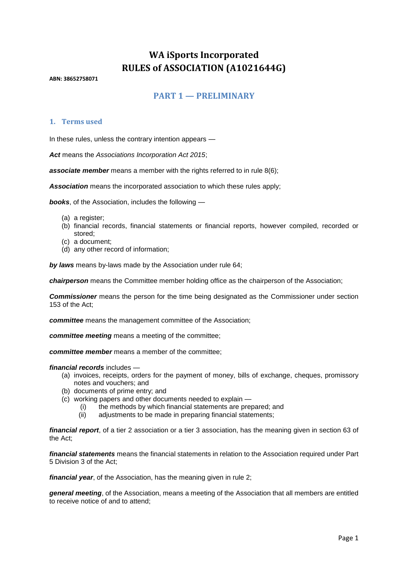# **WA iSports Incorporated RULES of ASSOCIATION (A1021644G)**

**ABN: 38652758071**

## **PART 1 — PRELIMINARY**

#### **1. Terms used**

In these rules, unless the contrary intention appears —

*Act* means the *Associations Incorporation Act 2015*;

**associate member** means a member with the rights referred to in rule 8(6):

*Association* means the incorporated association to which these rules apply;

*books*, of the Association, includes the following —

- (a) a register;
- (b) financial records, financial statements or financial reports, however compiled, recorded or stored;
- (c) a document;
- (d) any other record of information;

*by laws* means by-laws made by the Association under rule 64;

*chairperson* means the Committee member holding office as the chairperson of the Association;

*Commissioner* means the person for the time being designated as the Commissioner under section 153 of the Act;

*committee* means the management committee of the Association;

*committee meeting* means a meeting of the committee;

*committee member* means a member of the committee;

#### *financial records* includes —

- (a) invoices, receipts, orders for the payment of money, bills of exchange, cheques, promissory notes and vouchers; and
- (b) documents of prime entry; and
- (c) working papers and other documents needed to explain
	- (i) the methods by which financial statements are prepared; and
	- (ii) adjustments to be made in preparing financial statements;

*financial report*, of a tier 2 association or a tier 3 association, has the meaning given in section 63 of the Act;

*financial statements* means the financial statements in relation to the Association required under Part 5 Division 3 of the Act;

*financial year*, of the Association, has the meaning given in rule 2;

*general meeting*, of the Association, means a meeting of the Association that all members are entitled to receive notice of and to attend;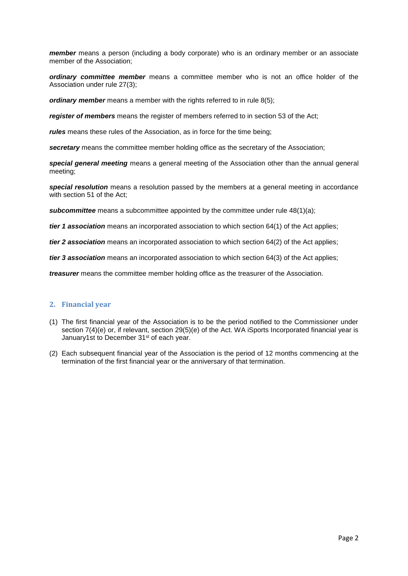*member* means a person (including a body corporate) who is an ordinary member or an associate member of the Association;

*ordinary committee member* means a committee member who is not an office holder of the Association under rule 27(3);

*ordinary member* means a member with the rights referred to in rule 8(5);

*register of members* means the register of members referred to in section 53 of the Act;

*rules* means these rules of the Association, as in force for the time being;

**secretary** means the committee member holding office as the secretary of the Association;

*special general meeting* means a general meeting of the Association other than the annual general meeting;

*special resolution* means a resolution passed by the members at a general meeting in accordance with section 51 of the Act;

*subcommittee* means a subcommittee appointed by the committee under rule 48(1)(a);

*tier 1 association* means an incorporated association to which section 64(1) of the Act applies;

*tier 2 association* means an incorporated association to which section 64(2) of the Act applies;

*tier 3 association* means an incorporated association to which section 64(3) of the Act applies;

*treasurer* means the committee member holding office as the treasurer of the Association.

#### **2. Financial year**

- (1) The first financial year of the Association is to be the period notified to the Commissioner under section 7(4)(e) or, if relevant, section 29(5)(e) of the Act. WA iSports Incorporated financial year is January1st to December 31<sup>st</sup> of each year.
- (2) Each subsequent financial year of the Association is the period of 12 months commencing at the termination of the first financial year or the anniversary of that termination.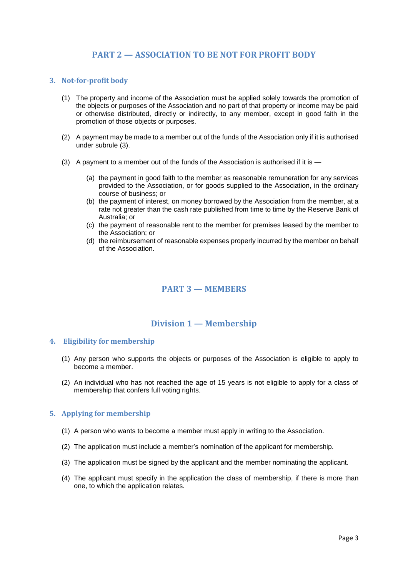## **PART 2 — ASSOCIATION TO BE NOT FOR PROFIT BODY**

#### **3. Not-for-profit body**

- (1) The property and income of the Association must be applied solely towards the promotion of the objects or purposes of the Association and no part of that property or income may be paid or otherwise distributed, directly or indirectly, to any member, except in good faith in the promotion of those objects or purposes.
- (2) A payment may be made to a member out of the funds of the Association only if it is authorised under subrule (3).
- (3) A payment to a member out of the funds of the Association is authorised if it is
	- (a) the payment in good faith to the member as reasonable remuneration for any services provided to the Association, or for goods supplied to the Association, in the ordinary course of business; or
	- (b) the payment of interest, on money borrowed by the Association from the member, at a rate not greater than the cash rate published from time to time by the Reserve Bank of Australia; or
	- (c) the payment of reasonable rent to the member for premises leased by the member to the Association; or
	- (d) the reimbursement of reasonable expenses properly incurred by the member on behalf of the Association.

## **PART 3 — MEMBERS**

## **Division 1 — Membership**

#### **4. Eligibility for membership**

- (1) Any person who supports the objects or purposes of the Association is eligible to apply to become a member.
- (2) An individual who has not reached the age of 15 years is not eligible to apply for a class of membership that confers full voting rights.

#### **5. Applying for membership**

- (1) A person who wants to become a member must apply in writing to the Association.
- (2) The application must include a member's nomination of the applicant for membership.
- (3) The application must be signed by the applicant and the member nominating the applicant.
- (4) The applicant must specify in the application the class of membership, if there is more than one, to which the application relates.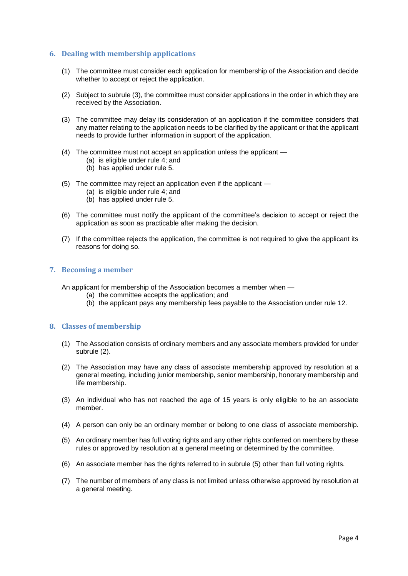#### **6. Dealing with membership applications**

- (1) The committee must consider each application for membership of the Association and decide whether to accept or reject the application.
- (2) Subject to subrule (3), the committee must consider applications in the order in which they are received by the Association.
- (3) The committee may delay its consideration of an application if the committee considers that any matter relating to the application needs to be clarified by the applicant or that the applicant needs to provide further information in support of the application.
- (4) The committee must not accept an application unless the applicant
	- (a) is eligible under rule 4; and
	- (b) has applied under rule 5.
- (5) The committee may reject an application even if the applicant
	- (a) is eligible under rule 4; and
	- (b) has applied under rule 5.
- (6) The committee must notify the applicant of the committee's decision to accept or reject the application as soon as practicable after making the decision.
- (7) If the committee rejects the application, the committee is not required to give the applicant its reasons for doing so.

#### **7. Becoming a member**

An applicant for membership of the Association becomes a member when —

- (a) the committee accepts the application; and
- (b) the applicant pays any membership fees payable to the Association under rule 12.

#### **8. Classes of membership**

- (1) The Association consists of ordinary members and any associate members provided for under subrule (2).
- (2) The Association may have any class of associate membership approved by resolution at a general meeting, including junior membership, senior membership, honorary membership and life membership.
- (3) An individual who has not reached the age of 15 years is only eligible to be an associate member.
- (4) A person can only be an ordinary member or belong to one class of associate membership.
- (5) An ordinary member has full voting rights and any other rights conferred on members by these rules or approved by resolution at a general meeting or determined by the committee.
- (6) An associate member has the rights referred to in subrule (5) other than full voting rights.
- (7) The number of members of any class is not limited unless otherwise approved by resolution at a general meeting.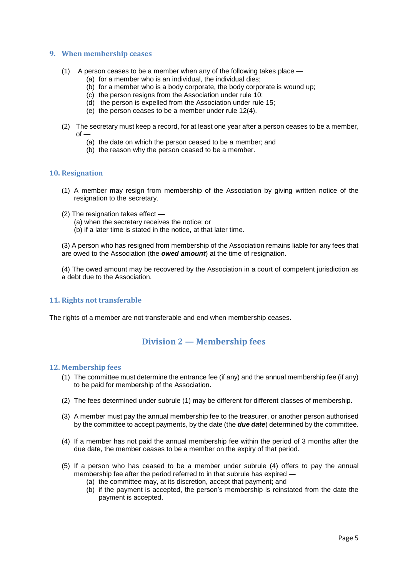#### **9. When membership ceases**

- (1) A person ceases to be a member when any of the following takes place
	- (a) for a member who is an individual, the individual dies;
	- (b) for a member who is a body corporate, the body corporate is wound up;
	- (c) the person resigns from the Association under rule 10;
	- (d) the person is expelled from the Association under rule 15;
	- (e) the person ceases to be a member under rule 12(4).
- (2) The secretary must keep a record, for at least one year after a person ceases to be a member,  $of -$ 
	- (a) the date on which the person ceased to be a member; and
	- (b) the reason why the person ceased to be a member.

#### **10. Resignation**

- (1) A member may resign from membership of the Association by giving written notice of the resignation to the secretary.
- (2) The resignation takes effect
	- (a) when the secretary receives the notice; or
	- (b) if a later time is stated in the notice, at that later time.

(3) A person who has resigned from membership of the Association remains liable for any fees that are owed to the Association (the *owed amount*) at the time of resignation.

(4) The owed amount may be recovered by the Association in a court of competent jurisdiction as a debt due to the Association.

#### **11. Rights not transferable**

The rights of a member are not transferable and end when membership ceases.

## **Division 2 — M**e**mbership fees**

#### **12. Membership fees**

- (1) The committee must determine the entrance fee (if any) and the annual membership fee (if any) to be paid for membership of the Association.
- (2) The fees determined under subrule (1) may be different for different classes of membership.
- (3) A member must pay the annual membership fee to the treasurer, or another person authorised by the committee to accept payments, by the date (the *due date*) determined by the committee.
- (4) If a member has not paid the annual membership fee within the period of 3 months after the due date, the member ceases to be a member on the expiry of that period.
- (5) If a person who has ceased to be a member under subrule (4) offers to pay the annual membership fee after the period referred to in that subrule has expired —
	- (a) the committee may, at its discretion, accept that payment; and
	- (b) if the payment is accepted, the person's membership is reinstated from the date the payment is accepted.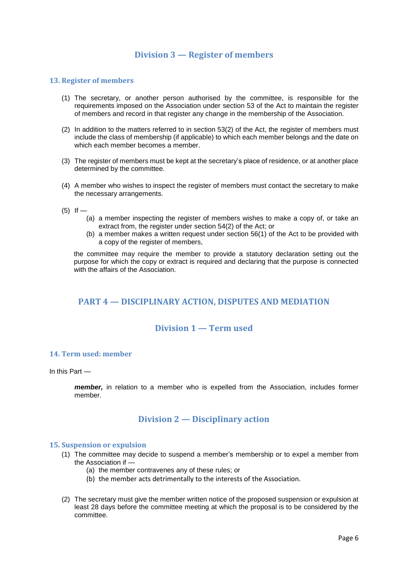## **Division 3 — Register of members**

#### **13. Register of members**

- (1) The secretary, or another person authorised by the committee, is responsible for the requirements imposed on the Association under section 53 of the Act to maintain the register of members and record in that register any change in the membership of the Association.
- (2) In addition to the matters referred to in section 53(2) of the Act, the register of members must include the class of membership (if applicable) to which each member belongs and the date on which each member becomes a member.
- (3) The register of members must be kept at the secretary's place of residence, or at another place determined by the committee.
- (4) A member who wishes to inspect the register of members must contact the secretary to make the necessary arrangements.
- $(5)$  If
	- (a) a member inspecting the register of members wishes to make a copy of, or take an extract from, the register under section 54(2) of the Act; or
	- (b) a member makes a written request under section 56(1) of the Act to be provided with a copy of the register of members,

the committee may require the member to provide a statutory declaration setting out the purpose for which the copy or extract is required and declaring that the purpose is connected with the affairs of the Association.

## **PART 4 — DISCIPLINARY ACTION, DISPUTES AND MEDIATION**

## **Division 1 — Term used**

#### **14. Term used: member**

In this Part —

*member,* in relation to a member who is expelled from the Association, includes former member.

### **Division 2 — Disciplinary action**

#### **15. Suspension or expulsion**

- (1) The committee may decide to suspend a member's membership or to expel a member from the Association if —
	- (a) the member contravenes any of these rules; or
	- (b) the member acts detrimentally to the interests of the Association.
- (2) The secretary must give the member written notice of the proposed suspension or expulsion at least 28 days before the committee meeting at which the proposal is to be considered by the committee.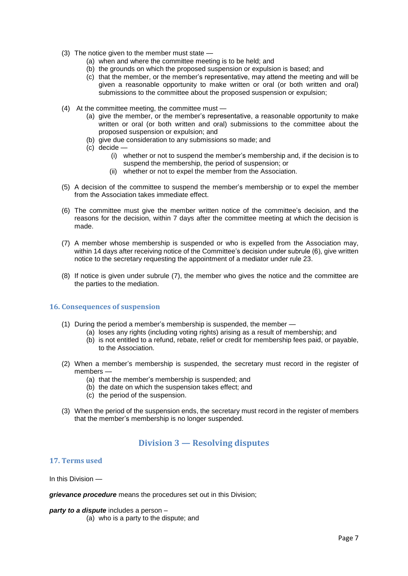- (3) The notice given to the member must state
	- (a) when and where the committee meeting is to be held; and
	- (b) the grounds on which the proposed suspension or expulsion is based; and
	- (c) that the member, or the member's representative, may attend the meeting and will be given a reasonable opportunity to make written or oral (or both written and oral) submissions to the committee about the proposed suspension or expulsion;
- (4) At the committee meeting, the committee must
	- (a) give the member, or the member's representative, a reasonable opportunity to make written or oral (or both written and oral) submissions to the committee about the proposed suspension or expulsion; and
	- (b) give due consideration to any submissions so made; and
	- (c) decide
		- (i) whether or not to suspend the member's membership and, if the decision is to suspend the membership, the period of suspension; or
		- (ii) whether or not to expel the member from the Association.
- (5) A decision of the committee to suspend the member's membership or to expel the member from the Association takes immediate effect.
- (6) The committee must give the member written notice of the committee's decision, and the reasons for the decision, within 7 days after the committee meeting at which the decision is made.
- (7) A member whose membership is suspended or who is expelled from the Association may, within 14 days after receiving notice of the Committee's decision under subrule (6), give written notice to the secretary requesting the appointment of a mediator under rule 23.
- (8) If notice is given under subrule (7), the member who gives the notice and the committee are the parties to the mediation.

#### **16. Consequences of suspension**

- (1) During the period a member's membership is suspended, the member
	- (a) loses any rights (including voting rights) arising as a result of membership; and
		- (b) is not entitled to a refund, rebate, relief or credit for membership fees paid, or payable, to the Association.
- (2) When a member's membership is suspended, the secretary must record in the register of members —
	- (a) that the member's membership is suspended; and
	- (b) the date on which the suspension takes effect; and
	- (c) the period of the suspension.
- (3) When the period of the suspension ends, the secretary must record in the register of members that the member's membership is no longer suspended.

### **Division 3 — Resolving disputes**

#### **17. Terms used**

In this Division —

*grievance procedure* means the procedures set out in this Division;

#### *party to a dispute* includes a person –

(a) who is a party to the dispute; and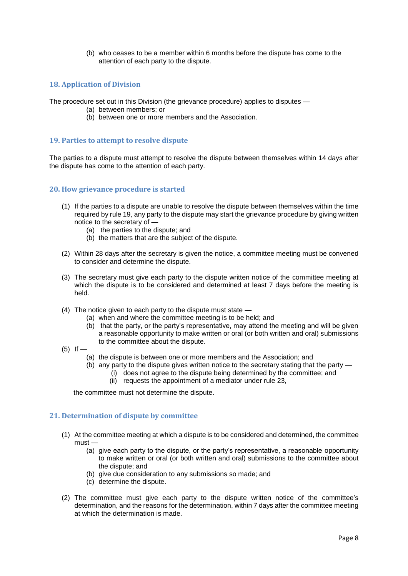(b) who ceases to be a member within 6 months before the dispute has come to the attention of each party to the dispute.

#### **18. Application of Division**

The procedure set out in this Division (the grievance procedure) applies to disputes —

- (a) between members; or
- (b) between one or more members and the Association.

#### **19. Parties to attempt to resolve dispute**

The parties to a dispute must attempt to resolve the dispute between themselves within 14 days after the dispute has come to the attention of each party.

#### **20. How grievance procedure is started**

- (1) If the parties to a dispute are unable to resolve the dispute between themselves within the time required by rule 19, any party to the dispute may start the grievance procedure by giving written notice to the secretary of —
	- (a) the parties to the dispute; and
	- (b) the matters that are the subject of the dispute.
- (2) Within 28 days after the secretary is given the notice, a committee meeting must be convened to consider and determine the dispute.
- (3) The secretary must give each party to the dispute written notice of the committee meeting at which the dispute is to be considered and determined at least 7 days before the meeting is held.
- (4) The notice given to each party to the dispute must state
	- (a) when and where the committee meeting is to be held; and
	- (b) that the party, or the party's representative, may attend the meeting and will be given a reasonable opportunity to make written or oral (or both written and oral) submissions to the committee about the dispute.
- $(5)$  If  $-$ 
	- (a) the dispute is between one or more members and the Association; and
	- (b) any party to the dispute gives written notice to the secretary stating that the party
		- (i) does not agree to the dispute being determined by the committee; and
		- (ii) requests the appointment of a mediator under rule 23,

the committee must not determine the dispute.

#### **21. Determination of dispute by committee**

- (1) At the committee meeting at which a dispute is to be considered and determined, the committee  $must$  —
	- (a) give each party to the dispute, or the party's representative, a reasonable opportunity to make written or oral (or both written and oral) submissions to the committee about the dispute; and
	- (b) give due consideration to any submissions so made; and
	- (c) determine the dispute.
- (2) The committee must give each party to the dispute written notice of the committee's determination, and the reasons for the determination, within 7 days after the committee meeting at which the determination is made.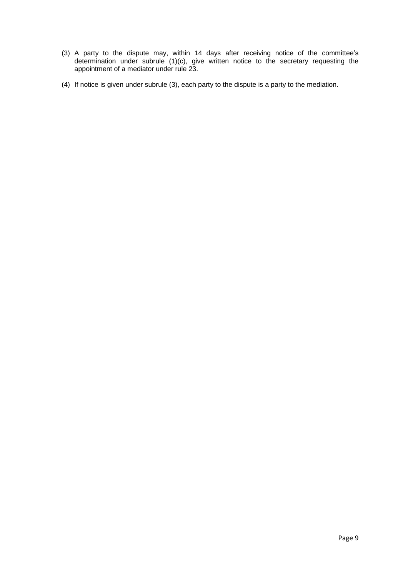- (3) A party to the dispute may, within 14 days after receiving notice of the committee's determination under subrule (1)(c), give written notice to the secretary requesting the appointment of a mediator under rule 23.
- (4) If notice is given under subrule (3), each party to the dispute is a party to the mediation.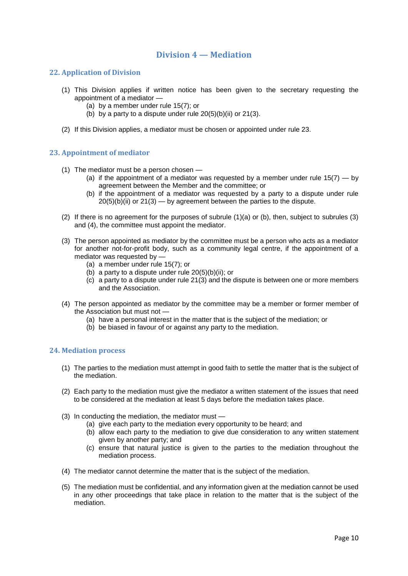## **Division 4 — Mediation**

### **22. Application of Division**

- (1) This Division applies if written notice has been given to the secretary requesting the appointment of a mediator —
	- (a) by a member under rule 15(7); or
	- (b) by a party to a dispute under rule  $20(5)(b)(ii)$  or  $21(3)$ .
- (2) If this Division applies, a mediator must be chosen or appointed under rule 23.

#### **23. Appointment of mediator**

- (1) The mediator must be a person chosen
	- (a) if the appointment of a mediator was requested by a member under rule  $15(7) -$  by agreement between the Member and the committee; or
	- (b) if the appointment of a mediator was requested by a party to a dispute under rule  $20(5)(b)(ii)$  or  $21(3)$  — by agreement between the parties to the dispute.
- (2) If there is no agreement for the purposes of subrule (1)(a) or (b), then, subject to subrules (3) and (4), the committee must appoint the mediator.
- (3) The person appointed as mediator by the committee must be a person who acts as a mediator for another not-for-profit body, such as a community legal centre, if the appointment of a mediator was requested by —
	- (a) a member under rule 15(7); or
	- (b) a party to a dispute under rule  $20(5)(b)(ii)$ ; or
	- (c) a party to a dispute under rule 21(3) and the dispute is between one or more members and the Association.
- (4) The person appointed as mediator by the committee may be a member or former member of the Association but must not —
	- (a) have a personal interest in the matter that is the subject of the mediation; or
	- (b) be biased in favour of or against any party to the mediation.

#### **24. Mediation process**

- (1) The parties to the mediation must attempt in good faith to settle the matter that is the subject of the mediation.
- (2) Each party to the mediation must give the mediator a written statement of the issues that need to be considered at the mediation at least 5 days before the mediation takes place.
- (3) In conducting the mediation, the mediator must
	- (a) give each party to the mediation every opportunity to be heard; and
	- (b) allow each party to the mediation to give due consideration to any written statement given by another party; and
	- (c) ensure that natural justice is given to the parties to the mediation throughout the mediation process.
- (4) The mediator cannot determine the matter that is the subject of the mediation.
- (5) The mediation must be confidential, and any information given at the mediation cannot be used in any other proceedings that take place in relation to the matter that is the subject of the mediation.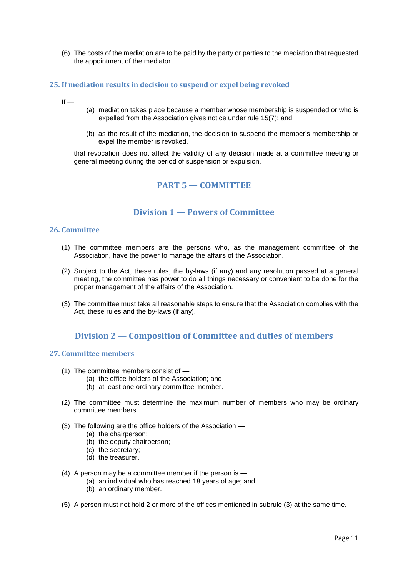(6) The costs of the mediation are to be paid by the party or parties to the mediation that requested the appointment of the mediator.

#### **25. If mediation results in decision to suspend or expel being revoked**

- $If -$
- (a) mediation takes place because a member whose membership is suspended or who is expelled from the Association gives notice under rule 15(7); and
- (b) as the result of the mediation, the decision to suspend the member's membership or expel the member is revoked,

that revocation does not affect the validity of any decision made at a committee meeting or general meeting during the period of suspension or expulsion.

### **PART 5 — COMMITTEE**

### **Division 1 — Powers of Committee**

#### **26. Committee**

- (1) The committee members are the persons who, as the management committee of the Association, have the power to manage the affairs of the Association.
- (2) Subject to the Act, these rules, the by-laws (if any) and any resolution passed at a general meeting, the committee has power to do all things necessary or convenient to be done for the proper management of the affairs of the Association.
- (3) The committee must take all reasonable steps to ensure that the Association complies with the Act, these rules and the by-laws (if any).

### **Division 2 — Composition of Committee and duties of members**

#### **27. Committee members**

- (1) The committee members consist of
	- (a) the office holders of the Association; and
	- (b) at least one ordinary committee member.
- (2) The committee must determine the maximum number of members who may be ordinary committee members.
- (3) The following are the office holders of the Association
	- (a) the chairperson;
	- (b) the deputy chairperson;
	- (c) the secretary;
	- (d) the treasurer.
- (4) A person may be a committee member if the person is
	- (a) an individual who has reached 18 years of age; and
	- (b) an ordinary member.
- (5) A person must not hold 2 or more of the offices mentioned in subrule (3) at the same time.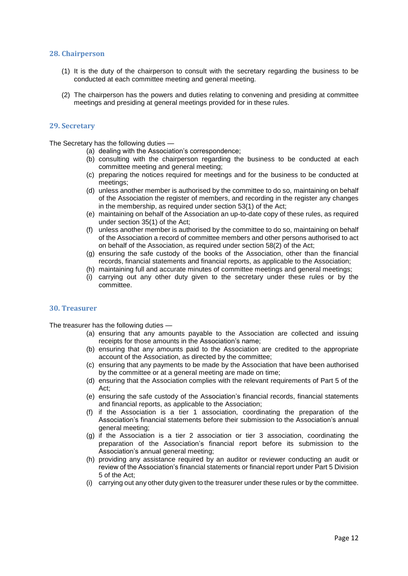#### **28. Chairperson**

- (1) It is the duty of the chairperson to consult with the secretary regarding the business to be conducted at each committee meeting and general meeting.
- (2) The chairperson has the powers and duties relating to convening and presiding at committee meetings and presiding at general meetings provided for in these rules.

#### **29. Secretary**

The Secretary has the following duties —

- (a) dealing with the Association's correspondence;
- (b) consulting with the chairperson regarding the business to be conducted at each committee meeting and general meeting;
- (c) preparing the notices required for meetings and for the business to be conducted at meetings;
- (d) unless another member is authorised by the committee to do so, maintaining on behalf of the Association the register of members, and recording in the register any changes in the membership, as required under section 53(1) of the Act;
- (e) maintaining on behalf of the Association an up-to-date copy of these rules, as required under section 35(1) of the Act;
- (f) unless another member is authorised by the committee to do so, maintaining on behalf of the Association a record of committee members and other persons authorised to act on behalf of the Association, as required under section 58(2) of the Act;
- (g) ensuring the safe custody of the books of the Association, other than the financial records, financial statements and financial reports, as applicable to the Association;
- (h) maintaining full and accurate minutes of committee meetings and general meetings;
- (i) carrying out any other duty given to the secretary under these rules or by the committee.

#### **30. Treasurer**

The treasurer has the following duties —

- (a) ensuring that any amounts payable to the Association are collected and issuing receipts for those amounts in the Association's name;
- (b) ensuring that any amounts paid to the Association are credited to the appropriate account of the Association, as directed by the committee;
- (c) ensuring that any payments to be made by the Association that have been authorised by the committee or at a general meeting are made on time;
- (d) ensuring that the Association complies with the relevant requirements of Part 5 of the Act;
- (e) ensuring the safe custody of the Association's financial records, financial statements and financial reports, as applicable to the Association;
- (f) if the Association is a tier 1 association, coordinating the preparation of the Association's financial statements before their submission to the Association's annual general meeting;
- (g) if the Association is a tier 2 association or tier 3 association, coordinating the preparation of the Association's financial report before its submission to the Association's annual general meeting;
- (h) providing any assistance required by an auditor or reviewer conducting an audit or review of the Association's financial statements or financial report under Part 5 Division 5 of the Act;
- (i) carrying out any other duty given to the treasurer under these rules or by the committee.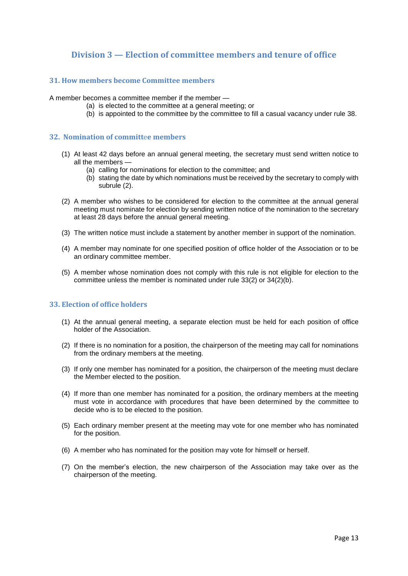## **Division 3 — Election of committee members and tenure of office**

#### **31. How members become Committee members**

A member becomes a committee member if the member —

- (a) is elected to the committee at a general meeting; or
	- (b) is appointed to the committee by the committee to fill a casual vacancy under rule 38.

#### **32. Nomination of committ**e**e members**

- (1) At least 42 days before an annual general meeting, the secretary must send written notice to all the members —
	- (a) calling for nominations for election to the committee; and
	- (b) stating the date by which nominations must be received by the secretary to comply with subrule (2).
- (2) A member who wishes to be considered for election to the committee at the annual general meeting must nominate for election by sending written notice of the nomination to the secretary at least 28 days before the annual general meeting.
- (3) The written notice must include a statement by another member in support of the nomination.
- (4) A member may nominate for one specified position of office holder of the Association or to be an ordinary committee member.
- (5) A member whose nomination does not comply with this rule is not eligible for election to the committee unless the member is nominated under rule 33(2) or 34(2)(b).

#### **33. Election of office holders**

- (1) At the annual general meeting, a separate election must be held for each position of office holder of the Association.
- (2) If there is no nomination for a position, the chairperson of the meeting may call for nominations from the ordinary members at the meeting.
- (3) If only one member has nominated for a position, the chairperson of the meeting must declare the Member elected to the position.
- (4) If more than one member has nominated for a position, the ordinary members at the meeting must vote in accordance with procedures that have been determined by the committee to decide who is to be elected to the position.
- (5) Each ordinary member present at the meeting may vote for one member who has nominated for the position.
- (6) A member who has nominated for the position may vote for himself or herself.
- (7) On the member's election, the new chairperson of the Association may take over as the chairperson of the meeting.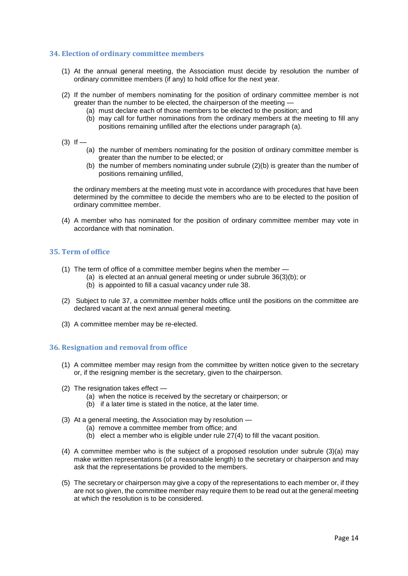#### **34. Election of ordinary committee members**

- (1) At the annual general meeting, the Association must decide by resolution the number of ordinary committee members (if any) to hold office for the next year.
- (2) If the number of members nominating for the position of ordinary committee member is not greater than the number to be elected, the chairperson of the meeting —
	- (a) must declare each of those members to be elected to the position; and
	- (b) may call for further nominations from the ordinary members at the meeting to fill any positions remaining unfilled after the elections under paragraph (a).
- $(3)$  If
	- (a) the number of members nominating for the position of ordinary committee member is greater than the number to be elected; or
	- (b) the number of members nominating under subrule (2)(b) is greater than the number of positions remaining unfilled,

the ordinary members at the meeting must vote in accordance with procedures that have been determined by the committee to decide the members who are to be elected to the position of ordinary committee member.

(4) A member who has nominated for the position of ordinary committee member may vote in accordance with that nomination.

#### **35. Term of office**

- (1) The term of office of a committee member begins when the member
	- (a) is elected at an annual general meeting or under subrule 36(3)(b); or
	- (b) is appointed to fill a casual vacancy under rule 38.
- (2) Subject to rule 37, a committee member holds office until the positions on the committee are declared vacant at the next annual general meeting.
- (3) A committee member may be re-elected.

#### **36. Resignation and removal from office**

- (1) A committee member may resign from the committee by written notice given to the secretary or, if the resigning member is the secretary, given to the chairperson.
- (2) The resignation takes effect
	- (a) when the notice is received by the secretary or chairperson; or
	- (b) if a later time is stated in the notice, at the later time.
- (3) At a general meeting, the Association may by resolution
	- (a) remove a committee member from office; and
	- (b) elect a member who is eligible under rule 27(4) to fill the vacant position.
- (4) A committee member who is the subject of a proposed resolution under subrule (3)(a) may make written representations (of a reasonable length) to the secretary or chairperson and may ask that the representations be provided to the members.
- (5) The secretary or chairperson may give a copy of the representations to each member or, if they are not so given, the committee member may require them to be read out at the general meeting at which the resolution is to be considered.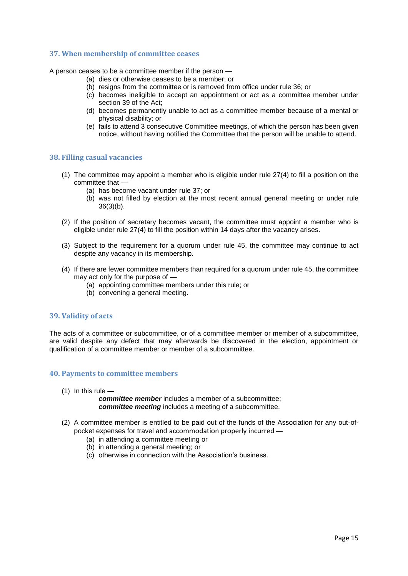#### **37. When membership of committee ceases**

A person ceases to be a committee member if the person —

- (a) dies or otherwise ceases to be a member; or
- (b) resigns from the committee or is removed from office under rule 36; or
- (c) becomes ineligible to accept an appointment or act as a committee member under section 39 of the Act;
- (d) becomes permanently unable to act as a committee member because of a mental or physical disability; or
- (e) fails to attend 3 consecutive Committee meetings, of which the person has been given notice, without having notified the Committee that the person will be unable to attend.

#### **38. Filling casual vacancies**

- (1) The committee may appoint a member who is eligible under rule 27(4) to fill a position on the committee that —
	- (a) has become vacant under rule 37; or
	- (b) was not filled by election at the most recent annual general meeting or under rule 36(3)(b).
- (2) If the position of secretary becomes vacant, the committee must appoint a member who is eligible under rule 27(4) to fill the position within 14 days after the vacancy arises.
- (3) Subject to the requirement for a quorum under rule 45, the committee may continue to act despite any vacancy in its membership.
- (4) If there are fewer committee members than required for a quorum under rule 45, the committee may act only for the purpose of —
	- (a) appointing committee members under this rule; or
	- (b) convening a general meeting.

#### **39. Validity of acts**

The acts of a committee or subcommittee, or of a committee member or member of a subcommittee, are valid despite any defect that may afterwards be discovered in the election, appointment or qualification of a committee member or member of a subcommittee.

#### **40. Payments to committee members**

 $(1)$  In this rule  $-$ 

*committee member* includes a member of a subcommittee; *committee meeting* includes a meeting of a subcommittee.

- (2) A committee member is entitled to be paid out of the funds of the Association for any out-ofpocket expenses for travel and accommodation properly incurred —
	- (a) in attending a committee meeting or
	- (b) in attending a general meeting; or
	- (c) otherwise in connection with the Association's business.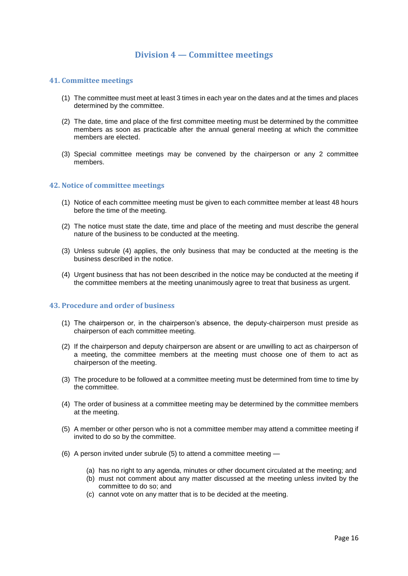## **Division 4 — Committee meetings**

#### **41. Committee meetings**

- (1) The committee must meet at least 3 times in each year on the dates and at the times and places determined by the committee.
- (2) The date, time and place of the first committee meeting must be determined by the committee members as soon as practicable after the annual general meeting at which the committee members are elected.
- (3) Special committee meetings may be convened by the chairperson or any 2 committee members.

#### **42. Notice of committee meetings**

- (1) Notice of each committee meeting must be given to each committee member at least 48 hours before the time of the meeting.
- (2) The notice must state the date, time and place of the meeting and must describe the general nature of the business to be conducted at the meeting.
- (3) Unless subrule (4) applies, the only business that may be conducted at the meeting is the business described in the notice.
- (4) Urgent business that has not been described in the notice may be conducted at the meeting if the committee members at the meeting unanimously agree to treat that business as urgent.

#### **43. Procedure and order of business**

- (1) The chairperson or, in the chairperson's absence, the deputy-chairperson must preside as chairperson of each committee meeting.
- (2) If the chairperson and deputy chairperson are absent or are unwilling to act as chairperson of a meeting, the committee members at the meeting must choose one of them to act as chairperson of the meeting.
- (3) The procedure to be followed at a committee meeting must be determined from time to time by the committee.
- (4) The order of business at a committee meeting may be determined by the committee members at the meeting.
- (5) A member or other person who is not a committee member may attend a committee meeting if invited to do so by the committee.
- (6) A person invited under subrule (5) to attend a committee meeting
	- (a) has no right to any agenda, minutes or other document circulated at the meeting; and
	- (b) must not comment about any matter discussed at the meeting unless invited by the committee to do so; and
	- (c) cannot vote on any matter that is to be decided at the meeting.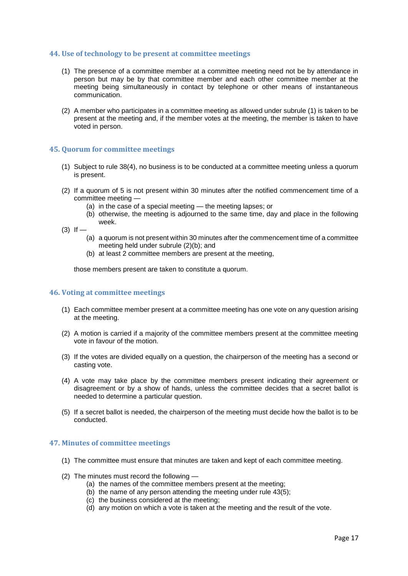#### **44. Use of technology to be present at committee meetings**

- (1) The presence of a committee member at a committee meeting need not be by attendance in person but may be by that committee member and each other committee member at the meeting being simultaneously in contact by telephone or other means of instantaneous communication.
- (2) A member who participates in a committee meeting as allowed under subrule (1) is taken to be present at the meeting and, if the member votes at the meeting, the member is taken to have voted in person.

#### **45. Quorum for committee meetings**

- (1) Subject to rule 38(4), no business is to be conducted at a committee meeting unless a quorum is present.
- (2) If a quorum of 5 is not present within 30 minutes after the notified commencement time of a committee meeting —
	- (a) in the case of a special meeting the meeting lapses; or
	- (b) otherwise, the meeting is adjourned to the same time, day and place in the following week.
- $(3)$  If  $-$ 
	- (a) a quorum is not present within 30 minutes after the commencement time of a committee meeting held under subrule (2)(b); and
	- (b) at least 2 committee members are present at the meeting,

those members present are taken to constitute a quorum.

#### **46. Voting at committee meetings**

- (1) Each committee member present at a committee meeting has one vote on any question arising at the meeting.
- (2) A motion is carried if a majority of the committee members present at the committee meeting vote in favour of the motion.
- (3) If the votes are divided equally on a question, the chairperson of the meeting has a second or casting vote.
- (4) A vote may take place by the committee members present indicating their agreement or disagreement or by a show of hands, unless the committee decides that a secret ballot is needed to determine a particular question.
- (5) If a secret ballot is needed, the chairperson of the meeting must decide how the ballot is to be conducted.

#### **47. Minutes of committee meetings**

- (1) The committee must ensure that minutes are taken and kept of each committee meeting.
- (2) The minutes must record the following
	- (a) the names of the committee members present at the meeting;
	- (b) the name of any person attending the meeting under rule  $43(5)$ ;
	- (c) the business considered at the meeting;
	- (d) any motion on which a vote is taken at the meeting and the result of the vote.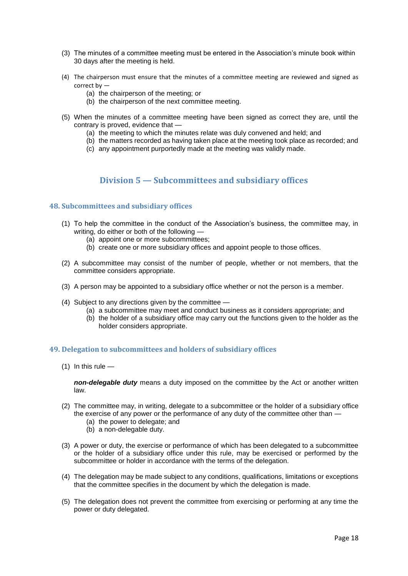- (3) The minutes of a committee meeting must be entered in the Association's minute book within 30 days after the meeting is held.
- (4) The chairperson must ensure that the minutes of a committee meeting are reviewed and signed as correct by —
	- (a) the chairperson of the meeting; or
	- (b) the chairperson of the next committee meeting.
- (5) When the minutes of a committee meeting have been signed as correct they are, until the contrary is proved, evidence that —
	- (a) the meeting to which the minutes relate was duly convened and held; and
	- (b) the matters recorded as having taken place at the meeting took place as recorded; and
	- (c) any appointment purportedly made at the meeting was validly made.

## **Division 5 — Subcommittees and subsidiary offices**

#### **48. Subcommittees and subs**i**diary offices**

- (1) To help the committee in the conduct of the Association's business, the committee may, in writing, do either or both of the following —
	- (a) appoint one or more subcommittees;
	- (b) create one or more subsidiary offices and appoint people to those offices.
- (2) A subcommittee may consist of the number of people, whether or not members, that the committee considers appropriate.
- (3) A person may be appointed to a subsidiary office whether or not the person is a member.
- (4) Subject to any directions given by the committee
	- (a) a subcommittee may meet and conduct business as it considers appropriate; and
	- (b) the holder of a subsidiary office may carry out the functions given to the holder as the holder considers appropriate.

#### **49. Delegation to subcommittees and holders of subsidiary offices**

 $(1)$  In this rule  $-$ 

*non-delegable duty* means a duty imposed on the committee by the Act or another written law.

- (2) The committee may, in writing, delegate to a subcommittee or the holder of a subsidiary office the exercise of any power or the performance of any duty of the committee other than —
	- (a) the power to delegate; and
	- (b) a non-delegable duty.
- (3) A power or duty, the exercise or performance of which has been delegated to a subcommittee or the holder of a subsidiary office under this rule, may be exercised or performed by the subcommittee or holder in accordance with the terms of the delegation.
- (4) The delegation may be made subject to any conditions, qualifications, limitations or exceptions that the committee specifies in the document by which the delegation is made.
- (5) The delegation does not prevent the committee from exercising or performing at any time the power or duty delegated.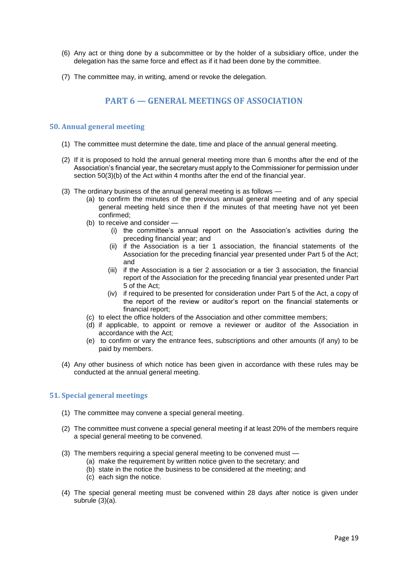- (6) Any act or thing done by a subcommittee or by the holder of a subsidiary office, under the delegation has the same force and effect as if it had been done by the committee.
- (7) The committee may, in writing, amend or revoke the delegation.

## **PART 6 — GENERAL MEETINGS OF ASSOCIATION**

### **50. Annual general meeting**

- (1) The committee must determine the date, time and place of the annual general meeting.
- (2) If it is proposed to hold the annual general meeting more than 6 months after the end of the Association's financial year, the secretary must apply to the Commissioner for permission under section 50(3)(b) of the Act within 4 months after the end of the financial year.
- (3) The ordinary business of the annual general meeting is as follows
	- (a) to confirm the minutes of the previous annual general meeting and of any special general meeting held since then if the minutes of that meeting have not yet been confirmed;
	- (b) to receive and consider
		- (i) the committee's annual report on the Association's activities during the preceding financial year; and
		- (ii) if the Association is a tier 1 association, the financial statements of the Association for the preceding financial year presented under Part 5 of the Act; and
		- (iii) if the Association is a tier 2 association or a tier 3 association, the financial report of the Association for the preceding financial year presented under Part 5 of the Act;
		- (iv) if required to be presented for consideration under Part 5 of the Act, a copy of the report of the review or auditor's report on the financial statements or financial report;
	- (c) to elect the office holders of the Association and other committee members;
	- (d) if applicable, to appoint or remove a reviewer or auditor of the Association in accordance with the Act;
	- (e) to confirm or vary the entrance fees, subscriptions and other amounts (if any) to be paid by members.
- (4) Any other business of which notice has been given in accordance with these rules may be conducted at the annual general meeting.

### **51. Special general meetings**

- (1) The committee may convene a special general meeting.
- (2) The committee must convene a special general meeting if at least 20% of the members require a special general meeting to be convened.
- (3) The members requiring a special general meeting to be convened must
	- (a) make the requirement by written notice given to the secretary; and
	- (b) state in the notice the business to be considered at the meeting; and
	- (c) each sign the notice.
- (4) The special general meeting must be convened within 28 days after notice is given under subrule (3)(a).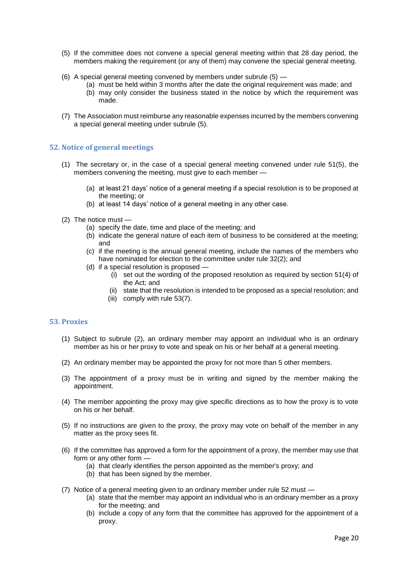- (5) If the committee does not convene a special general meeting within that 28 day period, the members making the requirement (or any of them) may convene the special general meeting.
- (6) A special general meeting convened by members under subrule (5)
	- (a) must be held within 3 months after the date the original requirement was made; and
	- (b) may only consider the business stated in the notice by which the requirement was made.
- (7) The Association must reimburse any reasonable expenses incurred by the members convening a special general meeting under subrule (5).

### **52. Notice of general meetings**

- (1) The secretary or, in the case of a special general meeting convened under rule 51(5), the members convening the meeting, must give to each member —
	- (a) at least 21 days' notice of a general meeting if a special resolution is to be proposed at the meeting; or
	- (b) at least 14 days' notice of a general meeting in any other case.
- (2) The notice must
	- (a) specify the date, time and place of the meeting; and
	- (b) indicate the general nature of each item of business to be considered at the meeting; and
	- (c) if the meeting is the annual general meeting, include the names of the members who have nominated for election to the committee under rule 32(2); and
	- (d) if a special resolution is proposed -
		- (i) set out the wording of the proposed resolution as required by section 51(4) of the Act; and
		- (ii) state that the resolution is intended to be proposed as a special resolution; and
		- (iii) comply with rule 53(7).

#### **53. Proxies**

- (1) Subject to subrule (2), an ordinary member may appoint an individual who is an ordinary member as his or her proxy to vote and speak on his or her behalf at a general meeting.
- (2) An ordinary member may be appointed the proxy for not more than 5 other members.
- (3) The appointment of a proxy must be in writing and signed by the member making the appointment.
- (4) The member appointing the proxy may give specific directions as to how the proxy is to vote on his or her behalf.
- (5) If no instructions are given to the proxy, the proxy may vote on behalf of the member in any matter as the proxy sees fit.
- (6) If the committee has approved a form for the appointment of a proxy, the member may use that form or any other form —
	- (a) that clearly identifies the person appointed as the member's proxy; and
	- (b) that has been signed by the member.
- (7) Notice of a general meeting given to an ordinary member under rule 52 must
	- (a) state that the member may appoint an individual who is an ordinary member as a proxy for the meeting; and
	- (b) include a copy of any form that the committee has approved for the appointment of a proxy.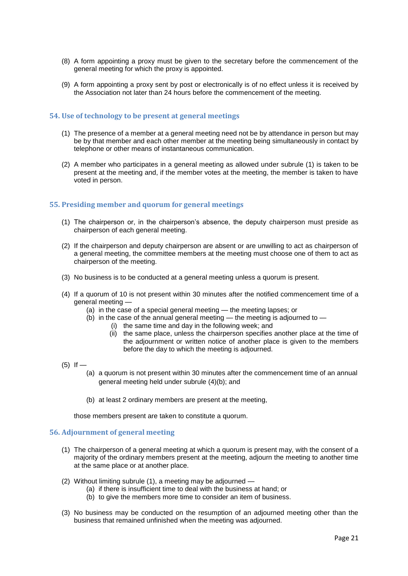- (8) A form appointing a proxy must be given to the secretary before the commencement of the general meeting for which the proxy is appointed.
- (9) A form appointing a proxy sent by post or electronically is of no effect unless it is received by the Association not later than 24 hours before the commencement of the meeting.

#### **54. Use of technology to be present at general meetings**

- (1) The presence of a member at a general meeting need not be by attendance in person but may be by that member and each other member at the meeting being simultaneously in contact by telephone or other means of instantaneous communication.
- (2) A member who participates in a general meeting as allowed under subrule (1) is taken to be present at the meeting and, if the member votes at the meeting, the member is taken to have voted in person.

#### **55. Presiding member and quorum for general meetings**

- (1) The chairperson or, in the chairperson's absence, the deputy chairperson must preside as chairperson of each general meeting.
- (2) If the chairperson and deputy chairperson are absent or are unwilling to act as chairperson of a general meeting, the committee members at the meeting must choose one of them to act as chairperson of the meeting.
- (3) No business is to be conducted at a general meeting unless a quorum is present.
- (4) If a quorum of 10 is not present within 30 minutes after the notified commencement time of a general meeting —
	- (a) in the case of a special general meeting the meeting lapses; or
	- $(b)$  in the case of the annual general meeting the meeting is adjourned to
		- (i) the same time and day in the following week; and
		- (ii) the same place, unless the chairperson specifies another place at the time of the adjournment or written notice of another place is given to the members before the day to which the meeting is adjourned.
- $(5)$  If
	- (a) a quorum is not present within 30 minutes after the commencement time of an annual general meeting held under subrule (4)(b); and
	- (b) at least 2 ordinary members are present at the meeting,

those members present are taken to constitute a quorum.

#### **56. Adjournment of general meeting**

- (1) The chairperson of a general meeting at which a quorum is present may, with the consent of a majority of the ordinary members present at the meeting, adjourn the meeting to another time at the same place or at another place.
- (2) Without limiting subrule (1), a meeting may be adjourned
	- (a) if there is insufficient time to deal with the business at hand; or
		- (b) to give the members more time to consider an item of business.
- (3) No business may be conducted on the resumption of an adjourned meeting other than the business that remained unfinished when the meeting was adjourned.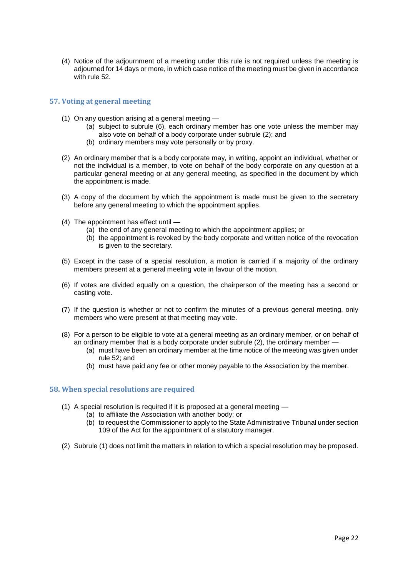(4) Notice of the adjournment of a meeting under this rule is not required unless the meeting is adjourned for 14 days or more, in which case notice of the meeting must be given in accordance with rule 52.

#### **57. Voting at general meeting**

- (1) On any question arising at a general meeting
	- (a) subject to subrule (6), each ordinary member has one vote unless the member may also vote on behalf of a body corporate under subrule (2); and
	- (b) ordinary members may vote personally or by proxy.
- (2) An ordinary member that is a body corporate may, in writing, appoint an individual, whether or not the individual is a member, to vote on behalf of the body corporate on any question at a particular general meeting or at any general meeting, as specified in the document by which the appointment is made.
- (3) A copy of the document by which the appointment is made must be given to the secretary before any general meeting to which the appointment applies.
- (4) The appointment has effect until
	- (a) the end of any general meeting to which the appointment applies; or
	- (b) the appointment is revoked by the body corporate and written notice of the revocation is given to the secretary.
- (5) Except in the case of a special resolution, a motion is carried if a majority of the ordinary members present at a general meeting vote in favour of the motion.
- (6) If votes are divided equally on a question, the chairperson of the meeting has a second or casting vote.
- (7) If the question is whether or not to confirm the minutes of a previous general meeting, only members who were present at that meeting may vote.
- (8) For a person to be eligible to vote at a general meeting as an ordinary member, or on behalf of an ordinary member that is a body corporate under subrule (2), the ordinary member —
	- (a) must have been an ordinary member at the time notice of the meeting was given under rule 52; and
	- (b) must have paid any fee or other money payable to the Association by the member.

#### **58. When special resolutions are required**

- (1) A special resolution is required if it is proposed at a general meeting
	- (a) to affiliate the Association with another body; or
		- (b) to request the Commissioner to apply to the State Administrative Tribunal under section 109 of the Act for the appointment of a statutory manager.
- (2) Subrule (1) does not limit the matters in relation to which a special resolution may be proposed.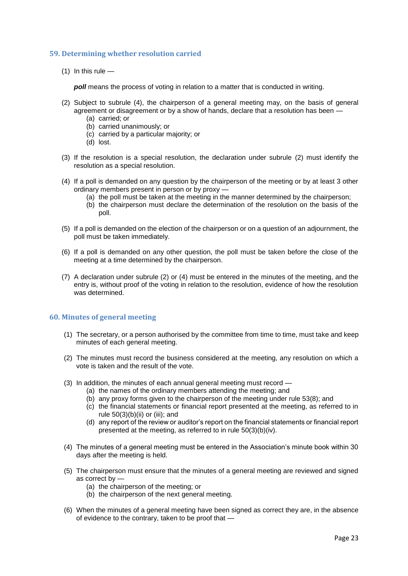#### **59. Determining whether resolution carried**

 $(1)$  In this rule —

*poll* means the process of voting in relation to a matter that is conducted in writing.

- (2) Subject to subrule (4), the chairperson of a general meeting may, on the basis of general agreement or disagreement or by a show of hands, declare that a resolution has been —
	- (a) carried; or
	- (b) carried unanimously; or
	- (c) carried by a particular majority; or
	- (d) lost.
- (3) If the resolution is a special resolution, the declaration under subrule (2) must identify the resolution as a special resolution.
- (4) If a poll is demanded on any question by the chairperson of the meeting or by at least 3 other ordinary members present in person or by proxy —
	- (a) the poll must be taken at the meeting in the manner determined by the chairperson;
	- (b) the chairperson must declare the determination of the resolution on the basis of the poll.
- (5) If a poll is demanded on the election of the chairperson or on a question of an adjournment, the poll must be taken immediately.
- (6) If a poll is demanded on any other question, the poll must be taken before the close of the meeting at a time determined by the chairperson.
- (7) A declaration under subrule (2) or (4) must be entered in the minutes of the meeting, and the entry is, without proof of the voting in relation to the resolution, evidence of how the resolution was determined

#### **60. Minutes of general meeting**

- (1) The secretary, or a person authorised by the committee from time to time, must take and keep minutes of each general meeting.
- (2) The minutes must record the business considered at the meeting, any resolution on which a vote is taken and the result of the vote.
- (3) In addition, the minutes of each annual general meeting must record
	- (a) the names of the ordinary members attending the meeting; and
	- (b) any proxy forms given to the chairperson of the meeting under rule 53(8); and
	- (c) the financial statements or financial report presented at the meeting, as referred to in rule  $50(3)(b)(ii)$  or (iii); and
	- (d) any report of the review or auditor's report on the financial statements or financial report presented at the meeting, as referred to in rule 50(3)(b)(iv).
- (4) The minutes of a general meeting must be entered in the Association's minute book within 30 days after the meeting is held.
- (5) The chairperson must ensure that the minutes of a general meeting are reviewed and signed as correct by —
	- (a) the chairperson of the meeting; or
	- (b) the chairperson of the next general meeting.
- (6) When the minutes of a general meeting have been signed as correct they are, in the absence of evidence to the contrary, taken to be proof that —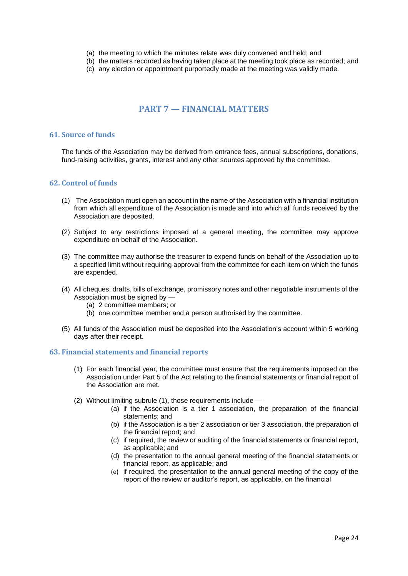- (a) the meeting to which the minutes relate was duly convened and held; and
- (b) the matters recorded as having taken place at the meeting took place as recorded; and
- (c) any election or appointment purportedly made at the meeting was validly made.

### **PART 7 — FINANCIAL MATTERS**

#### **61. Source of funds**

The funds of the Association may be derived from entrance fees, annual subscriptions, donations, fund-raising activities, grants, interest and any other sources approved by the committee.

#### **62. Control of funds**

- (1) The Association must open an account in the name of the Association with a financial institution from which all expenditure of the Association is made and into which all funds received by the Association are deposited.
- (2) Subject to any restrictions imposed at a general meeting, the committee may approve expenditure on behalf of the Association.
- (3) The committee may authorise the treasurer to expend funds on behalf of the Association up to a specified limit without requiring approval from the committee for each item on which the funds are expended.
- (4) All cheques, drafts, bills of exchange, promissory notes and other negotiable instruments of the Association must be signed by —
	- (a) 2 committee members; or
	- (b) one committee member and a person authorised by the committee.
- (5) All funds of the Association must be deposited into the Association's account within 5 working days after their receipt.

#### **63. Financial statements and financial reports**

- (1) For each financial year, the committee must ensure that the requirements imposed on the Association under Part 5 of the Act relating to the financial statements or financial report of the Association are met.
- (2) Without limiting subrule (1), those requirements include
	- (a) if the Association is a tier 1 association, the preparation of the financial statements; and
	- (b) if the Association is a tier 2 association or tier 3 association, the preparation of the financial report; and
	- (c) if required, the review or auditing of the financial statements or financial report, as applicable; and
	- (d) the presentation to the annual general meeting of the financial statements or financial report, as applicable; and
	- (e) if required, the presentation to the annual general meeting of the copy of the report of the review or auditor's report, as applicable, on the financial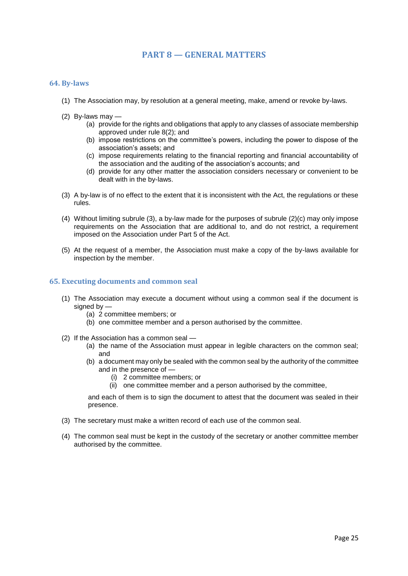### **PART 8 — GENERAL MATTERS**

#### **64. By-laws**

- (1) The Association may, by resolution at a general meeting, make, amend or revoke by-laws.
- (2) By-laws may
	- (a) provide for the rights and obligations that apply to any classes of associate membership approved under rule 8(2); and
	- (b) impose restrictions on the committee's powers, including the power to dispose of the association's assets; and
	- (c) impose requirements relating to the financial reporting and financial accountability of the association and the auditing of the association's accounts; and
	- (d) provide for any other matter the association considers necessary or convenient to be dealt with in the by-laws.
- (3) A by-law is of no effect to the extent that it is inconsistent with the Act, the regulations or these rules.
- (4) Without limiting subrule (3), a by-law made for the purposes of subrule (2)(c) may only impose requirements on the Association that are additional to, and do not restrict, a requirement imposed on the Association under Part 5 of the Act.
- (5) At the request of a member, the Association must make a copy of the by-laws available for inspection by the member.

#### **65. Executing documents and common seal**

- (1) The Association may execute a document without using a common seal if the document is signed by —
	- (a) 2 committee members; or
	- (b) one committee member and a person authorised by the committee.
- (2) If the Association has a common seal
	- (a) the name of the Association must appear in legible characters on the common seal; and
	- (b) a document may only be sealed with the common seal by the authority of the committee and in the presence of —
		- (i) 2 committee members; or
		- (ii) one committee member and a person authorised by the committee,

and each of them is to sign the document to attest that the document was sealed in their presence.

- (3) The secretary must make a written record of each use of the common seal.
- (4) The common seal must be kept in the custody of the secretary or another committee member authorised by the committee.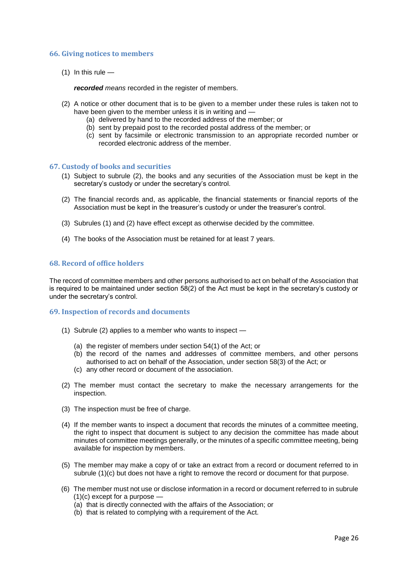#### **66. Giving notices to members**

 $(1)$  In this rule —

*recorded means* recorded in the register of members.

- (2) A notice or other document that is to be given to a member under these rules is taken not to have been given to the member unless it is in writing and -
	- (a) delivered by hand to the recorded address of the member; or
	- (b) sent by prepaid post to the recorded postal address of the member; or
	- (c) sent by facsimile or electronic transmission to an appropriate recorded number or recorded electronic address of the member.

#### **67. Custody of books and securities**

- (1) Subject to subrule (2), the books and any securities of the Association must be kept in the secretary's custody or under the secretary's control.
- (2) The financial records and, as applicable, the financial statements or financial reports of the Association must be kept in the treasurer's custody or under the treasurer's control.
- (3) Subrules (1) and (2) have effect except as otherwise decided by the committee.
- (4) The books of the Association must be retained for at least 7 years.

#### **68. Record of office holders**

The record of committee members and other persons authorised to act on behalf of the Association that is required to be maintained under section 58(2) of the Act must be kept in the secretary's custody or under the secretary's control.

#### **69. Inspection of records and documents**

- (1) Subrule (2) applies to a member who wants to inspect
	- (a) the register of members under section 54(1) of the Act; or
	- (b) the record of the names and addresses of committee members, and other persons authorised to act on behalf of the Association, under section 58(3) of the Act; or
	- (c) any other record or document of the association.
- (2) The member must contact the secretary to make the necessary arrangements for the inspection.
- (3) The inspection must be free of charge.
- (4) If the member wants to inspect a document that records the minutes of a committee meeting, the right to inspect that document is subject to any decision the committee has made about minutes of committee meetings generally, or the minutes of a specific committee meeting, being available for inspection by members.
- (5) The member may make a copy of or take an extract from a record or document referred to in subrule (1)(c) but does not have a right to remove the record or document for that purpose.
- (6) The member must not use or disclose information in a record or document referred to in subrule  $(1)(c)$  except for a purpose  $-$ 
	- (a) that is directly connected with the affairs of the Association; or
	- (b) that is related to complying with a requirement of the Act.